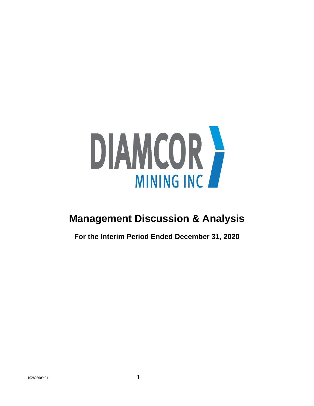

# **Management Discussion & Analysis**

**For the Interim Period Ended December 31, 2020**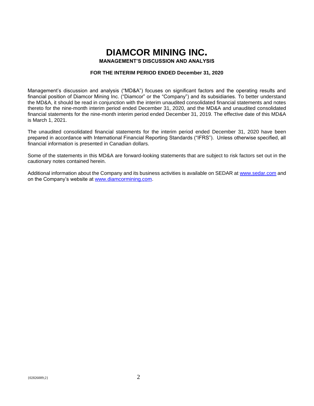# **DIAMCOR MINING INC.**

**MANAGEMENT'S DISCUSSION AND ANALYSIS**

# **FOR THE INTERIM PERIOD ENDED December 31, 2020**

Management's discussion and analysis ("MD&A") focuses on significant factors and the operating results and financial position of Diamcor Mining Inc. ("Diamcor" or the "Company") and its subsidiaries. To better understand the MD&A, it should be read in conjunction with the interim unaudited consolidated financial statements and notes thereto for the nine-month interim period ended December 31, 2020, and the MD&A and unaudited consolidated financial statements for the nine-month interim period ended December 31, 2019. The effective date of this MD&A is March 1, 2021.

The unaudited consolidated financial statements for the interim period ended December 31, 2020 have been prepared in accordance with International Financial Reporting Standards ("IFRS"). Unless otherwise specified, all financial information is presented in Canadian dollars.

Some of the statements in this MD&A are forward-looking statements that are subject to risk factors set out in the cautionary notes contained herein.

Additional information about the Company and its business activities is available on SEDAR at [www.sedar.com](http://www.sedar.com/) and on the Company's website at [www.diamcormining.com.](http://www.diamcormining.com/)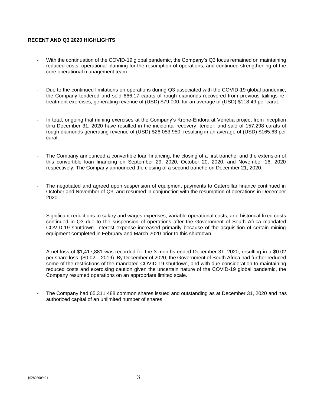# **RECENT AND Q3 2020 HIGHLIGHTS**

- With the continuation of the COVID-19 global pandemic, the Company's Q3 focus remained on maintaining reduced costs, operational planning for the resumption of operations, and continued strengthening of the core operational management team.
- Due to the continued limitations on operations during Q3 associated with the COVID-19 global pandemic, the Company tendered and sold 666.17 carats of rough diamonds recovered from previous tailings retreatment exercises, generating revenue of (USD) \$79,000, for an average of (USD) \$118.49 per carat.
- In total, ongoing trial mining exercises at the Company's Krone-Endora at Venetia project from inception thru December 31, 2020 have resulted in the incidental recovery, tender, and sale of 157,298 carats of rough diamonds generating revenue of (USD) \$26,053,950, resulting in an average of (USD) \$165.63 per carat.
- The Company announced a convertible loan financing, the closing of a first tranche, and the extension of this convertible loan financing on September 29, 2020, October 20, 2020, and November 16, 2020 respectively. The Company announced the closing of a second tranche on December 21, 2020.
- The negotiated and agreed upon suspension of equipment payments to Caterpillar finance continued in October and November of Q3, and resumed in conjunction with the resumption of operations in December 2020.
- Significant reductions to salary and wages expenses, variable operational costs, and historical fixed costs continued in Q3 due to the suspension of operations after the Government of South Africa mandated COVID-19 shutdown. Interest expense increased primarily because of the acquisition of certain mining equipment completed in February and March 2020 prior to this shutdown.
- A net loss of \$1,417,881 was recorded for the 3 months ended December 31, 2020, resulting in a \$0.02 per share loss. (\$0.02 – 2019). By December of 2020, the Government of South Africa had further reduced some of the restrictions of the mandated COVID-19 shutdown, and with due consideration to maintaining reduced costs and exercising caution given the uncertain nature of the COVID-19 global pandemic, the Company resumed operations on an appropriate limited scale.
- The Company had 65,311,488 common shares issued and outstanding as at December 31, 2020 and has authorized capital of an unlimited number of shares.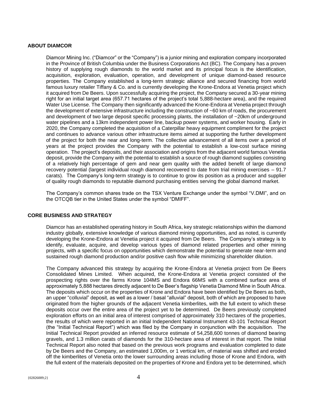## **ABOUT DIAMCOR**

Diamcor Mining Inc. ("Diamcor" or the "Company") is a junior mining and exploration company incorporated in the Province of British Columbia under the Business Corporations Act (BC). The Company has a proven history of supplying rough diamonds to the world market and its principal focus is the identification, acquisition, exploration, evaluation, operation, and development of unique diamond-based resource properties. The Company established a long-term strategic alliance and secured financing from world famous luxury retailer Tiffany & Co. and is currently developing the Krone-Endora at Venetia project which it acquired from De Beers. Upon successfully acquiring the project, the Company secured a 30-year mining right for an initial target area (657.71 hectares of the project's total 5,888-hectare area), and the required Water Use License. The Company then significantly advanced the Krone-Endora at Venetia project through the development of extensive infrastructure including the construction of ~60 km of roads, the procurement and development of two large deposit specific processing plants, the installation of  $\sim$ 20km of underground water pipelines and a 13km independent power line, backup power systems, and worker housing. Early in 2020, the Company completed the acquisition of a Caterpillar heavy equipment compliment for the project and continues to advance various other infrastructure items aimed at supporting the further development of the project for both the near and long-term. The collective advancement of all items over a period of years at the project provides the Company with the potential to establish a low-cost surface mining operation. The project's deposits, and their association and origins from the adjacent world famous Venetia deposit, provide the Company with the potential to establish a source of rough diamond supplies consisting of a relatively high percentage of gem and near gem quality with the added benefit of large diamond recovery potential (largest individual rough diamond recovered to date from trial mining exercises – 91.7 carats). The Company's long-term strategy is to continue to grow its position as a producer and supplier of quality rough diamonds to reputable diamond purchasing entities serving the global diamond market.

The Company's common shares trade on the TSX Venture Exchange under the symbol "V.DMI", and on the OTCQB tier in the United States under the symbol "DMIFF".

## **CORE BUSINESS AND STRATEGY**

Diamcor has an established operating history in South Africa, key strategic relationships within the diamond industry globally, extensive knowledge of various diamond mining opportunities, and as noted, is currently developing the Krone-Endora at Venetia project it acquired from De Beers. The Company's strategy is to identify, evaluate, acquire, and develop various types of diamond related properties and other mining projects, with a specific focus on opportunities which demonstrate the potential to generate near-term and sustained rough diamond production and/or positive cash flow while minimizing shareholder dilution.

The Company advanced this strategy by acquiring the Krone-Endora at Venetia project from De Beers Consolidated Mines Limited. When acquired, the Krone-Endora at Venetia project consisted of the prospecting rights over the farms Krone 104MS and Endora 66MS with a combined surface area of approximately 5,888 hectares directly adjacent to De Beer's flagship Venetia Diamond Mine in South Africa. The deposits which occur on the properties of Krone and Endora have been identified by De Beers as both, an upper "colluvial" deposit, as well as a lower / basal "alluvial" deposit, both of which are proposed to have originated from the higher grounds of the adjacent Venetia kimberlites, with the full extent to which these deposits occur over the entire area of the project yet to be determined. De Beers previously completed exploration efforts on an initial area of interest comprised of approximately 310 hectares of the properties, the results of which were reported in an initial Independent National Instrument 43-101 Technical Report (the "Initial Technical Report") which was filed by the Company in conjunction with the acquisition. The Initial Technical Report provided an inferred resource estimate of 54,258,600 tonnes of diamond bearing gravels, and 1.3 million carats of diamonds for the 310-hectare area of interest in that report. The Initial Technical Report also noted that based on the previous work programs and evaluation completed to date by De Beers and the Company, an estimated 1,000m, or 1 vertical km, of material was shifted and eroded off the kimberlites of Venetia onto the lower surrounding areas including those of Krone and Endora, with the full extent of the materials deposited on the properties of Krone and Endora yet to be determined, which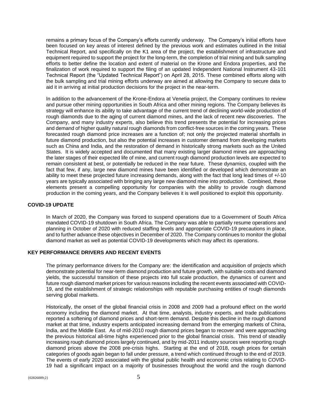remains a primary focus of the Company's efforts currently underway. The Company's initial efforts have been focused on key areas of interest defined by the previous work and estimates outlined in the Initial Technical Report, and specifically on the K1 area of the project, the establishment of infrastructure and equipment required to support the project for the long-term, the completion of trial mining and bulk sampling efforts to better define the location and extent of material on the Krone and Endora properties, and the finalization of work required to support the filing of an updated Independent National Instrument 43-101 Technical Report (the "Updated Technical Report") on April 28, 2015. These combined efforts along with the bulk sampling and trial mining efforts underway are aimed at allowing the Company to secure data to aid it in arriving at initial production decisions for the project in the near-term.

In addition to the advancement of the Krone-Endora at Venetia project, the Company continues to review and pursue other mining opportunities in South Africa and other mining regions. The Company believes its strategy will enhance its ability to take advantage of the current trend of declining world-wide production of rough diamonds due to the aging of current diamond mines, and the lack of recent new discoveries. The Company, and many industry experts, also believe this trend presents the potential for increasing prices and demand of higher quality natural rough diamonds from conflict-free sources in the coming years. These forecasted rough diamond price increases are a function of; not only the projected material shortfalls in future diamond production, but also the potential increases in customer demand from developing markets such as China and India, and the restoration of demand in historically strong markets such as the United States. It is widely accepted and documented that many existing larger diamond mines are approaching the later stages of their expected life of mine, and current rough diamond production levels are expected to remain consistent at best, or potentially be reduced in the near future. These dynamics, coupled with the fact that few, if any, large new diamond mines have been identified or developed which demonstrate an ability to meet these projected future increasing demands, along with the fact that long lead times of +/-10 years are typically associated with bringing any large new diamond mine into production. Combined, these elements present a compelling opportunity for companies with the ability to provide rough diamond production in the coming years, and the Company believes it is well positioned to exploit this opportunity.

## **COVID-19 UPDATE**

In March of 2020, the Company was forced to suspend operations due to a Government of South Africa mandated COVID-19 shutdown in South Africa. The Company was able to partially resume operations and planning in October of 2020 with reduced staffing levels and appropriate COVID-19 precautions in place, and to further advance these objectives in December of 2020. The Company continues to monitor the global diamond market as well as potential COVID-19 developments which may affect its operations.

## **KEY PERFORMANCE DRIVERS AND RECENT EVENTS**

The primary performance drivers for the Company are: the identification and acquisition of projects which demonstrate potential for near-term diamond production and future growth, with suitable costs and diamond yields, the successful transition of these projects into full scale production, the dynamics of current and future rough diamond market prices for various reasons including the recent events associated with COVID-19, and the establishment of strategic relationships with reputable purchasing entities of rough diamonds serving global markets.

Historically, the onset of the global financial crisis in 2008 and 2009 had a profound effect on the world economy including the diamond market. At that time, analysts, industry experts, and trade publications reported a softening of diamond prices and short-term demand. Despite this decline in the rough diamond market at that time, industry experts anticipated increasing demand from the emerging markets of China, India, and the Middle East. As of mid-2010 rough diamond prices began to recover and were approaching the previous historical all-time highs experienced prior to the global financial crisis. This trend of steadily increasing rough diamond prices largely continued, and by mid-2011 industry sources were reporting rough diamond prices above the 2008 pre-crisis highs. Starting at the end of 2018, rough prices for certain categories of goods again began to fall under pressure, a trend which continued through to the end of 2019. The events of early 2020 associated with the global public health and economic crisis relating to COVID-19 had a significant impact on a majority of businesses throughout the world and the rough diamond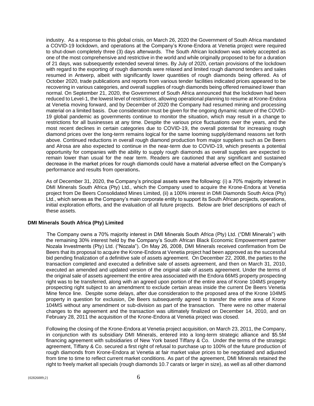industry. As a response to this global crisis, on March 26, 2020 the Government of South Africa mandated a COVID-19 lockdown, and operations at the Company's Krone-Endora at Venetia project were required to shut-down completely three (3) days afterwards. The South African lockdown was widely accepted as one of the most comprehensive and restrictive in the world and while originally proposed to be for a duration of 21 days, was subsequently extended several times. By July of 2020, certain provisions of the lockdown with regard to the exporting of rough diamonds were relaxed and limited rough diamond tenders and sales resumed in Antwerp, albeit with significantly lower quantities of rough diamonds being offered. As of October 2020, trade publications and reports from various tender facilities indicated prices appeared to be recovering in various categories, and overall supplies of rough diamonds being offered remained lower than normal. On September 21, 2020, the Government of South Africa announced that the lockdown had been reduced to Level-1, the lowest level of restrictions, allowing operational planning to resume at Krone-Endora at Venetia moving forward, and by December of 2020 the Company had resumed mining and processing material on a limited basis. Due consideration must be given for the ongoing dynamic nature of the COVID-19 global pandemic as governments continue to monitor the situation, which may result in a change to restrictions for all businesses at any time. Despite the various price fluctuations over the years, and the most recent declines in certain categories due to COVID-19, the overall potential for increasing rough diamond prices over the long-term remains logical for the same looming supply/demand reasons set forth above. Continued reductions in overall rough diamond production from major suppliers such as De Beers and Alrosa are also expected to continue in the near-term due to COVID-19, which presents a potential opportunity for companies with the ability to supply rough diamonds as overall supplies are expected to remain lower than usual for the near term. Readers are cautioned that any significant and sustained decrease in the market prices for rough diamonds could have a material adverse effect on the Company's performance and results from operations**.**

As of December 31, 2020, the Company's principal assets were the following: (i) a 70% majority interest in DMI Minerals South Africa (Pty) Ltd., which the Company used to acquire the Krone-Endora at Venetia project from De Beers Consolidated Mines Limited, (ii) a 100% interest in DMI Diamonds South Arica (Pty) Ltd., which serves as the Company's main corporate entity to support its South African projects, operations, initial exploration efforts, and the evaluation of all future projects. Below are brief descriptions of each of these assets.

## **DMI Minerals South Africa (Pty) Limited**

The Company owns a 70% majority interest in DMI Minerals South Africa (Pty) Ltd. ("DMI Minerals") with the remaining 30% interest held by the Company's South African Black Economic Empowerment partner Nozala Investments (Pty) Ltd. ("Nozala"). On May 26, 2008, DMI Minerals received confirmation from De Beers that its proposal to acquire the Krone-Endora at Venetia project had been approved as the successful bid pending finalization of a definitive sale of assets agreement. On December 22, 2008, the parties to the transaction completed and executed a definitive sale of assets agreement, and then on March 31, 2010, executed an amended and updated version of the original sale of assets agreement. Under the terms of the original sale of assets agreement the entire area associated with the Endora 66MS property prospecting right was to be transferred, along with an agreed upon portion of the entire area of Krone 104MS property prospecting right subject to an amendment to exclude certain areas inside the current De Beers Venetia Mine fence line. Despite some delays, after due consideration to the proposed area of the Krone 104MS property in question for exclusion, De Beers subsequently agreed to transfer the entire area of Krone 104MS without any amendment or sub-division as part of the transaction. There were no other material changes to the agreement and the transaction was ultimately finalized on December 14, 2010, and on February 28, 2011 the acquisition of the Krone-Endora at Venetia project was closed.

Following the closing of the Krone-Endora at Venetia project acquisition, on March 23, 2011, the Company, in conjunction with its subsidiary DMI Minerals, entered into a long-term strategic alliance and \$5.5M financing agreement with subsidiaries of New York based Tiffany & Co. Under the terms of the strategic agreement, Tiffany & Co. secured a first right of refusal to purchase up to 100% of the future production of rough diamonds from Krone-Endora at Venetia at fair market value prices to be negotiated and adjusted from time to time to reflect current market conditions. As part of the agreement, DMI Minerals retained the right to freely market all specials (rough diamonds 10.7 carats or larger in size), as well as all other diamond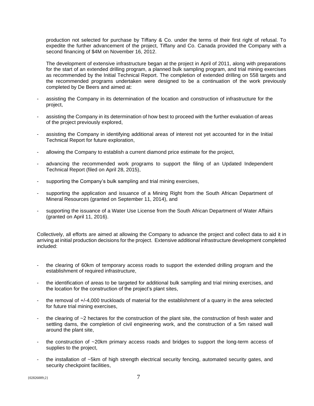production not selected for purchase by Tiffany & Co. under the terms of their first right of refusal. To expedite the further advancement of the project, Tiffany and Co. Canada provided the Company with a second financing of \$4M on November 16, 2012.

The development of extensive infrastructure began at the project in April of 2011, along with preparations for the start of an extended drilling program, a planned bulk sampling program, and trial mining exercises as recommended by the Initial Technical Report. The completion of extended drilling on 558 targets and the recommended programs undertaken were designed to be a continuation of the work previously completed by De Beers and aimed at:

- assisting the Company in its determination of the location and construction of infrastructure for the project,
- assisting the Company in its determination of how best to proceed with the further evaluation of areas of the project previously explored,
- assisting the Company in identifying additional areas of interest not yet accounted for in the Initial Technical Report for future exploration,
- allowing the Company to establish a current diamond price estimate for the project,
- advancing the recommended work programs to support the filing of an Updated Independent Technical Report (filed on April 28, 2015),
- supporting the Company's bulk sampling and trial mining exercises,
- supporting the application and issuance of a Mining Right from the South African Department of Mineral Resources (granted on September 11, 2014), and
- supporting the issuance of a Water Use License from the South African Department of Water Affairs (granted on April 11, 2016).

Collectively, all efforts are aimed at allowing the Company to advance the project and collect data to aid it in arriving at initial production decisions for the project. Extensive additional infrastructure development completed included:

- the clearing of 60km of temporary access roads to support the extended drilling program and the establishment of required infrastructure,
- the identification of areas to be targeted for additional bulk sampling and trial mining exercises, and the location for the construction of the project's plant sites,
- the removal of +/-4,000 truckloads of material for the establishment of a quarry in the area selected for future trial mining exercises,
- the clearing of  $\sim$ 2 hectares for the construction of the plant site, the construction of fresh water and settling dams, the completion of civil engineering work, and the construction of a 5m raised wall around the plant site,
- the construction of ~20km primary access roads and bridges to support the long-term access of supplies to the project,
- the installation of ~5km of high strength electrical security fencing, automated security gates, and security checkpoint facilities,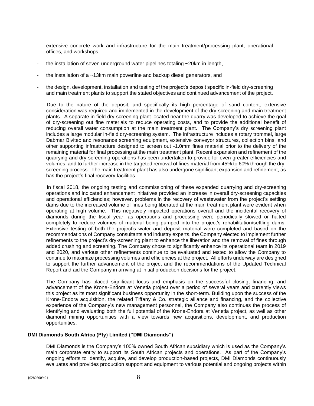- extensive concrete work and infrastructure for the main treatment/processing plant, operational offices, and workshops,
- the installation of seven underground water pipelines totaling  $\sim$  20km in length,
- the installation of a ~13km main powerline and backup diesel generators, and
- the design, development, installation and testing of the project's deposit specific in-field dry-screening and main treatment plants to support the stated objectives and continued advancement of the project.

Due to the nature of the deposit, and specifically its high percentage of sand content, extensive consideration was required and implemented in the development of the dry-screening and main treatment plants. A separate in-field dry-screening plant located near the quarry was developed to achieve the goal of dry-screening out fine materials to reduce operating costs, and to provide the additional benefit of reducing overall water consumption at the main treatment plant. The Company's dry screening plant includes a large modular in-field dry-screening system. The infrastructure includes a rotary trommel, large Dabmar Bivitec and resonance screening equipment, extensive conveyor structures, collection bins, and other supporting infrastructure designed to screen out -1.0mm fines material prior to the delivery of the remaining material for final processing at the main treatment plant. Recent expansion and refinement of the quarrying and dry-screening operations has been undertaken to provide for even greater efficiencies and volumes, and to further increase in the targeted removal of fines material from 45% to 60% through the dryscreening process. The main treatment plant has also undergone significant expansion and refinement, as has the project's final recovery facilities.

In fiscal 2018, the ongoing testing and commissioning of these expanded quarrying and dry-screening operations and indicated enhancement initiatives provided an increase in overall dry-screening capacities and operational efficiencies; however, problems in the recovery of wastewater from the project's settling dams due to the increased volume of fines being liberated at the main treatment plant were evident when operating at high volume. This negatively impacted operations overall and the incidental recovery of diamonds during the fiscal year, as operations and processing were periodically slowed or halted completely to reduce volumes of material being pumped into the project's rehabilitation/settling dams. Extensive testing of both the project's water and deposit material were completed and based on the recommendations of Company consultants and industry experts, the Company elected to implement further refinements to the project's dry-screening plant to enhance the liberation and the removal of fines through added crushing and screening. The Company chose to significantly enhance its operational team in 2019 and 2020, and various other refinements continue to be evaluated and tested to allow the Company to continue to maximize processing volumes and efficiencies at the project. All efforts underway are designed to support the further advancement of the project and the recommendations of the Updated Technical Report and aid the Company in arriving at initial production decisions for the project.

The Company has placed significant focus and emphasis on the successful closing, financing, and advancement of the Krone-Endora at Venetia project over a period of several years and currently views this project as its most significant business opportunity in the short-term. Building upon the success of the Krone-Endora acquisition, the related Tiffany & Co. strategic alliance and financing, and the collective experience of the Company's new management personnel, the Company also continues the process of identifying and evaluating both the full potential of the Krone-Endora at Venetia project, as well as other diamond mining opportunities with a view towards new acquisitions, development, and production opportunities.

## **DMI Diamonds South Africa (Pty) Limited ("DMI Diamonds")**

DMI Diamonds is the Company's 100% owned South African subsidiary which is used as the Company's main corporate entity to support its South African projects and operations. As part of the Company's ongoing efforts to identify, acquire, and develop production-based projects, DMI Diamonds continuously evaluates and provides production support and equipment to various potential and ongoing projects within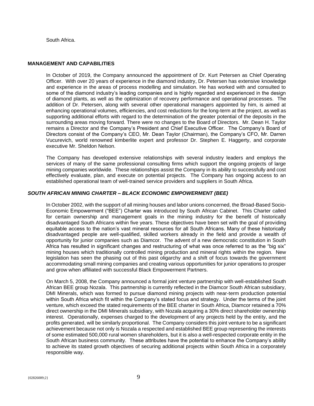South Africa.

## **MANAGEMENT AND CAPABILITIES**

In October of 2019, the Company announced the appointment of Dr. Kurt Petersen as Chief Operating Officer. With over 20 years of experience in the diamond industry, Dr. Petersen has extensive knowledge and experience in the areas of process modelling and simulation. He has worked with and consulted to some of the diamond industry's leading companies and is highly regarded and experienced in the design of diamond plants, as well as the optimization of recovery performance and operational processes. The addition of Dr. Petersen, along with several other operational managers appointed by him, is aimed at enhancing operational volumes, efficiencies, and cost reductions for the long-term at the project, as well as supporting additional efforts with regard to the determination of the greater potential of the deposits in the surrounding areas moving forward. There were no changes to the Board of Directors. Mr. Dean H. Taylor remains a Director and the Company's President and Chief Executive Officer. The Company's Board of Directors consist of the Company's CEO, Mr. Dean Taylor (Chairman), the Company's CFO, Mr. Darren Vucurevich, world renowned kimberlite expert and professor Dr. Stephen E. Haggerty, and corporate executive Mr. Sheldon Nelson.

The Company has developed extensive relationships with several industry leaders and employs the services of many of the same professional consulting firms which support the ongoing projects of large mining companies worldwide. These relationships assist the Company in its ability to successfully and cost effectively evaluate, plan, and execute on potential projects. The Company has ongoing access to an established operational team of well-trained service providers and suppliers in South Africa.

# *SOUTH AFRICAN MINING CHARTER – BLACK ECONOMIC EMPOWERMENT (BEE)*

In October 2002, with the support of all mining houses and labor unions concerned, the Broad-Based Socio-Economic Empowerment ("BEE") Charter was introduced by South African Cabinet. This Charter called for certain ownership and management goals in the mining industry for the benefit of historically disadvantaged South Africans within five years. These objectives have been set with the goal of providing equitable access to the nation's vast mineral resources for all South Africans. Many of these historically disadvantaged people are well-qualified, skilled workers already in the field and provide a wealth of opportunity for junior companies such as Diamcor. The advent of a new democratic constitution in South Africa has resulted in significant changes and restructuring of what was once referred to as the "big six" mining houses which traditionally controlled mining production and mineral rights within the region. New legislation has seen the phasing out of this past oligarchy and a shift of focus towards the government accommodating small mining companies and creating various opportunities for junior operations to prosper and grow when affiliated with successful Black Empowerment Partners.

On March 5, 2008, the Company announced a formal joint venture partnership with well-established South African BEE group Nozala. This partnership is currently reflected in the Diamcor South African subsidiary, DMI Minerals, which was formed to pursue diamond mining projects with near-term production potential within South Africa which fit within the Company's stated focus and strategy. Under the terms of the joint venture, which exceed the stated requirements of the BEE charter in South Africa, Diamcor retained a 70% direct ownership in the DMI Minerals subsidiary, with Nozala acquiring a 30% direct shareholder ownership interest. Operationally, expenses charged to the development of any projects held by the entity, and the profits generated, will be similarly proportional. The Company considers this joint venture to be a significant achievement because not only is Nozala a respected and established BEE group representing the interests of some estimated 500,000 rural women shareholders, but it is also a well-respected corporate entity in the South African business community. These attributes have the potential to enhance the Company's ability to achieve its stated growth objectives of securing additional projects within South Africa in a corporately responsible way.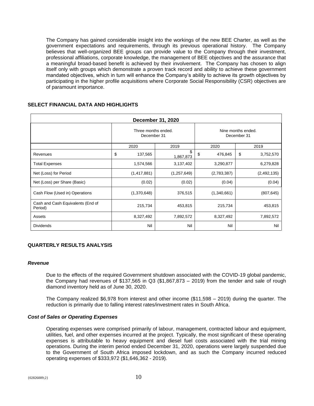The Company has gained considerable insight into the workings of the new BEE Charter, as well as the government expectations and requirements, through its previous operational history. The Company believes that well-organized BEE groups can provide value to the Company through their investment, professional affiliations, corporate knowledge, the management of BEE objectives and the assurance that a meaningful broad-based benefit is achieved by their involvement. The Company has chosen to align itself only with groups which demonstrate a proven track record and ability to achieve these government mandated objectives, which in turn will enhance the Company's ability to achieve its growth objectives by participating in the higher profile acquisitions where Corporate Social Responsibility (CSR) objectives are of paramount importance.

| <b>December 31, 2020</b>                     |                                    |                 |                                   |                 |  |
|----------------------------------------------|------------------------------------|-----------------|-----------------------------------|-----------------|--|
|                                              | Three months ended.<br>December 31 |                 | Nine months ended.<br>December 31 |                 |  |
|                                              | 2020                               | 2019            | 2020                              | 2019            |  |
| Revenues                                     | \$<br>137,565                      | \$<br>1,867,873 | \$<br>476,845                     | \$<br>3,752,570 |  |
| <b>Total Expenses</b>                        | 1,574,566                          | 3,137,402       | 3,290,877                         | 6,279,828       |  |
| Net (Loss) for Period                        | (1, 417, 881)                      | (1, 257, 649)   | (2,783,387)                       | (2, 492, 135)   |  |
| Net (Loss) per Share (Basic)                 | (0.02)                             | (0.02)          | (0.04)                            | (0.04)          |  |
| Cash Flow (Used in) Operations               | (1,370,648)                        | 376,515         | (1,340,661)                       | (807, 645)      |  |
| Cash and Cash Equivalents (End of<br>Period) | 215,734                            | 453,815         | 215,734                           | 453,815         |  |
| Assets                                       | 8,327,492                          | 7,892,572       | 8,327,492                         | 7,892,572       |  |
| <b>Dividends</b>                             | Nil                                | Nil             | Nil                               | Nil             |  |

# **SELECT FINANCIAL DATA AND HIGHLIGHTS**

## **QUARTERLY RESULTS ANALYSIS**

#### *Revenue*

Due to the effects of the required Government shutdown associated with the COVID-19 global pandemic, the Company had revenues of \$137,565 in Q3 (\$1,867,873 – 2019) from the tender and sale of rough diamond inventory held as of June 30, 2020.

The Company realized \$6,978 from interest and other income (\$11,598 – 2019) during the quarter. The reduction is primarily due to falling interest rates/investment rates in South Africa.

## *Cost of Sales or Operating Expenses*

Operating expenses were comprised primarily of labour, management, contracted labour and equipment, utilities, fuel, and other expenses incurred at the project. Typically, the most significant of these operating expenses is attributable to heavy equipment and diesel fuel costs associated with the trial mining operations. During the interim period ended December 31, 2020, operations were largely suspended due to the Government of South Africa imposed lockdown, and as such the Company incurred reduced operating expenses of \$333,972 (\$1,646,362 - 2019).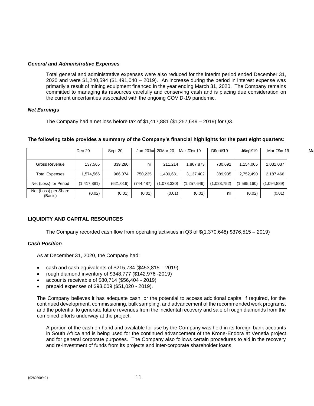## *General and Administrative Expenses*

Total general and administrative expenses were also reduced for the interim period ended December 31, 2020 and were \$1,240,594 (\$1,491,040 – 2019). An increase during the period in interest expense was primarily a result of mining equipment financed in the year ending March 31, 2020. The Company remains committed to managing its resources carefully and conserving cash and is placing due consideration on the current uncertainties associated with the ongoing COVID-19 pandemic.

# *Net Earnings*

The Company had a net loss before tax of  $$1,417,881$  ( $$1,257,649 - 2019$ ) for Q3.

|                                 | $Dec-20$    | Sept-20    |            | Jun-20Jun-20Mar-20 | $Mar-20eC-19$ | Deepter <sub>9</sub> | J6iedt919   | Mar-109 n-19 | Ma |
|---------------------------------|-------------|------------|------------|--------------------|---------------|----------------------|-------------|--------------|----|
|                                 |             |            |            |                    |               |                      |             |              |    |
| <b>Gross Revenue</b>            | 137.565     | 339,280    | nil        | 211.214            | 1,867,873     | 730.692              | 1.154.005   | 1,031,037    |    |
| <b>Total Expenses</b>           | 1.574.566   | 966.074    | 750.235    | .400,681           | 3.137.402     | 389.935              | 2.752.490   | 2,187,466    |    |
| Net (Loss) for Period           | (1,417,881) | (621, 016) | (744, 487) | (1,078,330)        | (1,257,649)   | (1,023,752)          | (1,585,160) | (1,094,889)  |    |
| Net (Loss) per Share<br>(Basic) | (0.02)      | (0.01)     | (0.01)     | (0.01)             | (0.02)        | nil                  | (0.02)      | (0.01)       |    |

## **The following table provides a summary of the Company's financial highlights for the past eight quarters:**

# **LIQUIDITY AND CAPITAL RESOURCES**

The Company recorded cash flow from operating activities in Q3 of \$(1,370,648) \$376,515 – 2019)

## *Cash Position*

As at December 31, 2020, the Company had:

- cash and cash equivalents of \$215,734 (\$453,815 2019)
- rough diamond inventory of \$348,777 (\$142,976 -2019)
- accounts receivable of \$80,714 (\$56,404 2019)
- prepaid expenses of \$93,009 (\$51,020 2019).

The Company believes it has adequate cash, or the potential to access additional capital if required, for the continued development, commissioning, bulk sampling, and advancement of the recommended work programs, and the potential to generate future revenues from the incidental recovery and sale of rough diamonds from the combined efforts underway at the project.

A portion of the cash on hand and available for use by the Company was held in its foreign bank accounts in South Africa and is being used for the continued advancement of the Krone-Endora at Venetia project and for general corporate purposes. The Company also follows certain procedures to aid in the recovery and re-investment of funds from its projects and inter-corporate shareholder loans.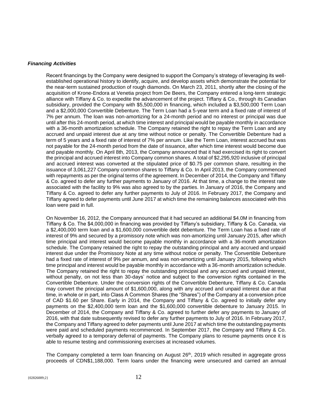## *Financing Activities*

Recent financings by the Company were designed to support the Company's strategy of leveraging its wellestablished operational history to identify, acquire, and develop assets which demonstrate the potential for the near-term sustained production of rough diamonds. On March 23, 2011, shortly after the closing of the acquisition of Krone-Endora at Venetia project from De Beers, the Company entered a long-term strategic alliance with Tiffany & Co. to expedite the advancement of the project. Tiffany & Co., through its Canadian subsidiary, provided the Company with \$5,500,000 in financing, which included a \$3,500,000 Term Loan and a \$2,000,000 Convertible Debenture. The Term Loan had a 5-year term and a fixed rate of interest of 7% per annum. The loan was non-amortizing for a 24-month period and no interest or principal was due until after this 24-month period, at which time interest and principal would be payable monthly in accordance with a 36-month amortization schedule. The Company retained the right to repay the Term Loan and any accrued and unpaid interest due at any time without notice or penalty. The Convertible Debenture had a term of 5 years and a fixed rate of interest of 7% per annum. Like the Term Loan, interest accrued but was not payable for the 24-month period from the date of issuance, after which time interest would become due and payable monthly. On April 8th, 2013, the Company announced that it had exercised its right to convert the principal and accrued interest into Company common shares. A total of \$2,295,920 inclusive of principal and accrued interest was converted at the stipulated price of \$0.75 per common share, resulting in the issuance of 3,061,227 Company common shares to Tiffany & Co. In April 2013, the Company commenced with repayments as per the original terms of the agreement. In December of 2014, the Company and Tiffany & Co. agreed to defer any further payments to January of 2016. At that time, a change to the interest rate associated with the facility to 9% was also agreed to by the parties. In January of 2016, the Company and Tiffany & Co. agreed to defer any further payments to July of 2016. In February 2017, the Company and Tiffany agreed to defer payments until June 2017 at which time the remaining balances associated with this loan were paid in full.

On November 16, 2012, the Company announced that it had secured an additional \$4.0M in financing from Tiffany & Co. The \$4,000,000 in financing was provided by Tiffany's subsidiary, Tiffany & Co. Canada, via a \$2,400,000 term loan and a \$1,600,000 convertible debt debenture. The Term Loan has a fixed rate of interest of 9% and secured by a promissory note which was non-amortizing until January 2015, after which time principal and interest would become payable monthly in accordance with a 36-month amortization schedule. The Company retained the right to repay the outstanding principal and any accrued and unpaid interest due under the Promissory Note at any time without notice or penalty. The Convertible Debenture had a fixed rate of interest of 9% per annum, and was non-amortizing until January 2015, following which time principal and interest would be payable monthly in accordance with a 36-month amortization schedule. The Company retained the right to repay the outstanding principal and any accrued and unpaid interest, without penalty, on not less than 30-days' notice and subject to the conversion rights contained in the Convertible Debenture. Under the conversion rights of the Convertible Debenture, Tiffany & Co. Canada may convert the principal amount of \$1,600,000, along with any accrued and unpaid interest due at that time, in whole or in part, into Class A Common Shares (the "Shares") of the Company at a conversion price of CAD \$1.60 per Share. Early in 2014, the Company and Tiffany & Co. agreed to initially defer any payments on the \$2,400,000 term loan and the \$1,600,000 convertible debenture to January 2015. In December of 2014, the Company and Tiffany & Co. agreed to further defer any payments to January of 2016, with that date subsequently revised to defer any further payments to July of 2016. In February 2017, the Company and Tiffany agreed to defer payments until June 2017 at which time the outstanding payments were paid and scheduled payments recommenced. In September 2017, the Company and Tiffany & Co. verbally agreed to a temporary deferral of payments. The Company plans to resume payments once it is able to resume testing and commissioning exercises at increased volumes.

The Company completed a term loan financing on August  $26<sup>th</sup>$ , 2019 which resulted in aggregate gross proceeds of CDN\$1,188,000. Term loans under the financing were unsecured and carried an annual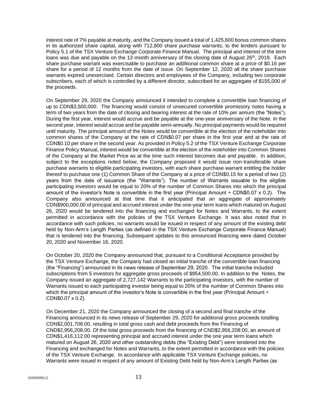interest rate of 7% payable at maturity, and the Company issued a total of 1,425,600 bonus common shares in its authorized share capital, along with 712,800 share purchase warrants, to the lenders pursuant to Policy 5.1 of the TSX Venture Exchange Corporate Finance Manual. The principal and interest of the term loans was due and payable on the 12-month anniversary of the closing date of August  $26<sup>th</sup>$ , 2019. Each share purchase warrant was exercisable to purchase an additional common share at a price of \$0.16 per share for a period of 12 months from the date of issue. On September 12, 2020 all the share purchase warrants expired unexercised. Certain directors and employees of the Company, including two corporate subscribers, each of which is controlled by a different director, subscribed for an aggregate of \$155,000 of the proceeds.

On September 29, 2020 the Company announced it intended to complete a convertible loan financing of up to CDN\$3,500,000. The financing would consist of unsecured convertible promissory notes having a term of two years from the date of closing and bearing interest at the rate of 10% per annum (the "Notes"). During the first year, interest would accrue and be payable at the one-year anniversary of the Note. In the second year, interest would accrue and be payable semi-annually. No principal payments would be required until maturity. The principal amount of the Notes would be convertible at the election of the noteholder into common shares of the Company at the rate of CDN\$0.07 per share in the first year and at the rate of CDN\$0.10 per share in the second year. As provided in Policy 5.2 of the TSX Venture Exchange Corporate Finance Policy Manual, interest would be convertible at the election of the noteholder into Common Shares of the Company at the Market Price as at the time such interest becomes due and payable. In addition, subject to the exceptions noted below, the Company proposed it would issue non-transferable share purchase warrants to eligible participating investors, with each share purchase warrant entitling the holder thereof to purchase one (1) Common Share of the Company at a price of CDN\$0.15 for a period of two (2) years from the date of issuance (the "Warrants"). The number of Warrants issuable to the eligible participating investors would be equal to 20% of the number of Common Shares into which the principal amount of the investor's Note is convertible in the first year (Principal Amount ÷ CDN\$0.07 x 0.2). The Company also announced at that time that it anticipated that an aggregate of approximately CDN\$900,000.00 of principal and accrued interest under the one-year term loans which matured on August 26, 2020 would be tendered into the financing and exchanged for Notes and Warrants, to the extent permitted in accordance with the policies of the TSX Venture Exchange. It was also noted that in accordance with such policies, no warrants would be issued in respect of any amount of the existing debt held by Non-Arm's Length Parties (as defined in the TSX Venture Exchange Corporate Finance Manual) that is tendered into the financing. Subsequent updates to this announced financing were dated October 20, 2020 and November 16, 2020.

On October 20, 2020 the Company announced that, pursuant to a Conditional Acceptance provided by the TSX Venture Exchange, the Company had closed an initial tranche of the convertible loan financing (the "Financing") announced in its news release of September 29, 2020. The initial tranche included subscriptions from 5 investors for aggregate gross proceeds of \$954,500.00. In addition to the Notes, the Company issued an aggregate of 2,727,142 Warrants to the participating investors, with the number of Warrants issued to each participating investor being equal to 20% of the number of Common Shares into which the principal amount of the investor's Note is convertible in the first year (Principal Amount ÷ CDN\$0.07 x 0.2).

On December 21, 2020 the Company announced the closing of a second and final tranche of the Financing announced in its news release of September 29, 2020 for additional gross proceeds totalling CDN\$2,001,708.00, resulting in total gross cash and debt proceeds from the Financing of CND\$2,956,208.00. Of the total gross proceeds from the financing of CND\$2,956,208.00, an amount of CDN\$1,416,112.00 representing principal and accrued interest under the one year term loans which matured on August 26, 2020 and other outstanding debts (the "Existing Debt") were tendered into the Financing and exchanged for Notes and Warrants, to the extent permitted in accordance with the policies of the TSX Venture Exchange. In accordance with applicable TSX Venture Exchange policies, no Warrants were issued in respect of any amount of Existing Debt held by Non-Arm's Length Parties (as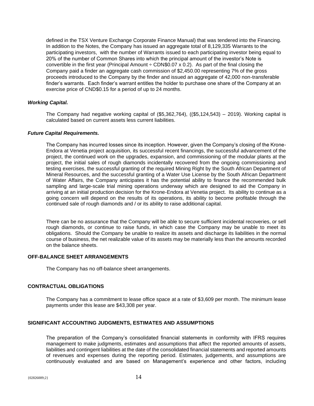defined in the TSX Venture Exchange Corporate Finance Manual) that was tendered into the Financing. In addition to the Notes, the Company has issued an aggregate total of 8,129,335 Warrants to the participating investors, with the number of Warrants issued to each participating investor being equal to 20% of the number of Common Shares into which the principal amount of the investor's Note is convertible in the first year (Principal Amount  $\div$  CDN\$0.07 x 0.2). As part of the final closing the Company paid a finder an aggregate cash commission of \$2,450.00 representing 7% of the gross proceeds introduced to the Company by the finder and issued an aggregate of 42,000 non-transferable finder's warrants. Each finder's warrant entitles the holder to purchase one share of the Company at an exercise price of CND\$0.15 for a period of up to 24 months.

# *Working Capital.*

The Company had negative working capital of (\$5,362,764), ((\$5,124,543) – 2019). Working capital is calculated based on current assets less current liabilities.

## *Future Capital Requirements.*

The Company has incurred losses since its inception. However, given the Company's closing of the Krone-Endora at Venetia project acquisition, its successful recent financings, the successful advancement of the project, the continued work on the upgrades, expansion, and commissioning of the modular plants at the project, the initial sales of rough diamonds incidentally recovered from the ongoing commissioning and testing exercises, the successful granting of the required Mining Right by the South African Department of Mineral Resources, and the successful granting of a Water Use License by the South African Department of Water Affairs, the Company anticipates it has the potential ability to finance the recommended bulk sampling and large-scale trial mining operations underway which are designed to aid the Company in arriving at an initial production decision for the Krone-Endora at Venetia project. Its ability to continue as a going concern will depend on the results of its operations, its ability to become profitable through the continued sale of rough diamonds and / or its ability to raise additional capital.

There can be no assurance that the Company will be able to secure sufficient incidental recoveries, or sell rough diamonds, or continue to raise funds, in which case the Company may be unable to meet its obligations. Should the Company be unable to realize its assets and discharge its liabilities in the normal course of business, the net realizable value of its assets may be materially less than the amounts recorded on the balance sheets.

# **OFF-BALANCE SHEET ARRANGEMENTS**

The Company has no off-balance sheet arrangements.

# **CONTRACTUAL OBLIGATIONS**

The Company has a commitment to lease office space at a rate of \$3,609 per month. The minimum lease payments under this lease are \$43,308 per year.

# **SIGNIFICANT ACCOUNTING JUDGMENTS, ESTIMATES AND ASSUMPTIONS**

The preparation of the Company's consolidated financial statements in conformity with IFRS requires management to make judgments, estimates and assumptions that affect the reported amounts of assets, liabilities and contingent liabilities at the date of the consolidated financial statements and reported amounts of revenues and expenses during the reporting period. Estimates, judgements, and assumptions are continuously evaluated and are based on Management's experience and other factors, including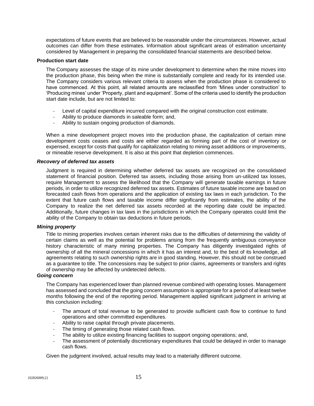expectations of future events that are believed to be reasonable under the circumstances. However, actual outcomes can differ from these estimates. Information about significant areas of estimation uncertainty considered by Management in preparing the consolidated financial statements are described below.

## **Production start date**

The Company assesses the stage of its mine under development to determine when the mine moves into the production phase, this being when the mine is substantially complete and ready for its intended use. The Company considers various relevant criteria to assess when the production phase is considered to have commenced. At this point, all related amounts are reclassified from 'Mines under construction' to 'Producing mines' under 'Property, plant and equipment'. Some of the criteria used to identify the production start date include, but are not limited to:

- Level of capital expenditure incurred compared with the original construction cost estimate.
- Ability to produce diamonds in saleable form; and,
- Ability to sustain ongoing production of diamonds.

When a mine development project moves into the production phase, the capitalization of certain mine development costs ceases and costs are either regarded as forming part of the cost of inventory or expensed, except for costs that qualify for capitalization relating to mining asset additions or improvements, or mineable reserve development. It is also at this point that depletion commences.

## *Recovery of deferred tax assets*

Judgment is required in determining whether deferred tax assets are recognized on the consolidated statement of financial position. Deferred tax assets, including those arising from un-utilized tax losses, require Management to assess the likelihood that the Company will generate taxable earnings in future periods, in order to utilize recognized deferred tax assets. Estimates of future taxable income are based on forecasted cash flows from operations and the application of existing tax laws in each jurisdiction. To the extent that future cash flows and taxable income differ significantly from estimates, the ability of the Company to realize the net deferred tax assets recorded at the reporting date could be impacted. Additionally, future changes in tax laws in the jurisdictions in which the Company operates could limit the ability of the Company to obtain tax deductions in future periods.

#### *Mining property*

Title to mining properties involves certain inherent risks due to the difficulties of determining the validity of certain claims as well as the potential for problems arising from the frequently ambiguous conveyance history characteristic of many mining properties. The Company has diligently investigated rights of ownership of all the mineral concessions in which it has an interest and, to the best of its knowledge, all agreements relating to such ownership rights are in good standing. However, this should not be construed as a guarantee to title. The concessions may be subject to prior claims, agreements or transfers and rights of ownership may be affected by undetected defects.

## *Going concern*

The Company has experienced lower than planned revenue combined with operating losses. Management has assessed and concluded that the going concern assumption is appropriate for a period of at least twelve months following the end of the reporting period. Management applied significant judgment in arriving at this conclusion including:

- The amount of total revenue to be generated to provide sufficient cash flow to continue to fund operations and other committed expenditures.
- Ability to raise capital through private placements.
- The timing of generating those related cash flows.
- The ability to utilize existing financing facilities to support ongoing operations; and,
- The assessment of potentially discretionary expenditures that could be delayed in order to manage cash flows.

Given the judgment involved, actual results may lead to a materially different outcome.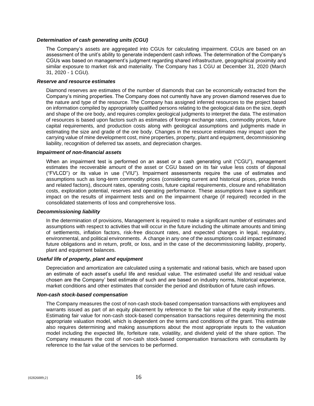## *Determination of cash generating units (CGU)*

The Company's assets are aggregated into CGUs for calculating impairment. CGUs are based on an assessment of the unit's ability to generate independent cash inflows. The determination of the Company's CGUs was based on management's judgment regarding shared infrastructure, geographical proximity and similar exposure to market risk and materiality. The Company has 1 CGU at December 31, 2020 (March 31, 2020 - 1 CGU).

### *Reserve and resource estimates*

Diamond reserves are estimates of the number of diamonds that can be economically extracted from the Company's mining properties. The Company does not currently have any proven diamond reserves due to the nature and type of the resource. The Company has assigned inferred resources to the project based on information compiled by appropriately qualified persons relating to the geological data on the size, depth and shape of the ore body, and requires complex geological judgments to interpret the data. The estimation of resources is based upon factors such as estimates of foreign exchange rates, commodity prices, future capital requirements, and production costs along with geological assumptions and judgments made in estimating the size and grade of the ore body. Changes in the resource estimates may impact upon the carrying value of mine development cost, mine properties, property, plant and equipment, decommissioning liability, recognition of deferred tax assets, and depreciation charges.

### *Impairment of non-financial assets*

When an impairment test is performed on an asset or a cash generating unit ("CGU"), management estimates the recoverable amount of the asset or CGU based on its fair value less costs of disposal ("FVLCD") or its value in use ("VIU"). Impairment assessments require the use of estimates and assumptions such as long-term commodity prices (considering current and historical prices, price trends and related factors), discount rates, operating costs, future capital requirements, closure and rehabilitation costs, exploration potential, reserves and operating performance. These assumptions have a significant impact on the results of impairment tests and on the impairment charge (if required) recorded in the consolidated statements of loss and comprehensive loss.

#### *Decommissioning liability*

In the determination of provisions, Management is required to make a significant number of estimates and assumptions with respect to activities that will occur in the future including the ultimate amounts and timing of settlements, inflation factors, risk-free discount rates, and expected changes in legal, regulatory, environmental, and political environments. A change in any one of the assumptions could impact estimated future obligations and in return, profit, or loss, and in the case of the decommissioning liability, property, plant and equipment balances.

#### *Useful life of property, plant and equipment*

Depreciation and amortization are calculated using a systematic and rational basis, which are based upon an estimate of each asset's useful life and residual value. The estimated useful life and residual value chosen are the Company' best estimate of such and are based on industry norms, historical experience, market conditions and other estimates that consider the period and distribution of future cash inflows.

#### *Non-cash stock-based compensation*

The Company measures the cost of non-cash stock-based compensation transactions with employees and warrants issued as part of an equity placement by reference to the fair value of the equity instruments. Estimating fair value for non-cash stock-based compensation transactions requires determining the most appropriate valuation model, which is dependent on the terms and conditions of the grant. This estimate also requires determining and making assumptions about the most appropriate inputs to the valuation model including the expected life, forfeiture rate, volatility, and dividend yield of the share option. The Company measures the cost of non-cash stock-based compensation transactions with consultants by reference to the fair value of the services to be performed.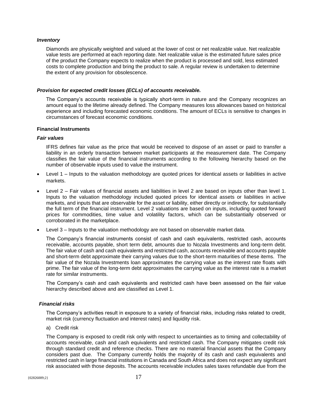## *Inventory*

Diamonds are physically weighted and valued at the lower of cost or net realizable value. Net realizable value tests are performed at each reporting date. Net realizable value is the estimated future sales price of the product the Company expects to realize when the product is processed and sold, less estimated costs to complete production and bring the product to sale. A regular review is undertaken to determine the extent of any provision for obsolescence.

## *Provision for expected credit losses (ECLs) of accounts receivable.*

The Company's accounts receivable is typically short-term in nature and the Company recognizes an amount equal to the lifetime already defined. The Company measures loss allowances based on historical experience and including forecasted economic conditions. The amount of ECLs is sensitive to changes in circumstances of forecast economic conditions.

## **Financial Instruments**

## *Fair values*

IFRS defines fair value as the price that would be received to dispose of an asset or paid to transfer a liability in an orderly transaction between market participants at the measurement date. The Company classifies the fair value of the financial instruments according to the following hierarchy based on the number of observable inputs used to value the instrument.

- Level 1 Inputs to the valuation methodology are quoted prices for identical assets or liabilities in active markets.
- Level 2 Fair values of financial assets and liabilities in level 2 are based on inputs other than level 1. Inputs to the valuation methodology included quoted prices for identical assets or liabilities in active markets, and inputs that are observable for the asset or liability, either directly or indirectly, for substantially the full term of the financial instrument. Level 2 valuations are based on inputs, including quoted forward prices for commodities, time value and volatility factors, which can be substantially observed or corroborated in the marketplace.
- Level 3 Inputs to the valuation methodology are not based on observable market data.

The Company's financial instruments consist of cash and cash equivalents, restricted cash, accounts receivable, accounts payable, short term debt, amounts due to Nozala Investments and long-term debt. The fair value of cash and cash equivalents and restricted cash, accounts receivable and accounts payable and short-term debt approximate their carrying values due to the short-term maturities of these items. The fair value of the Nozala Investments loan approximates the carrying value as the interest rate floats with prime. The fair value of the long-term debt approximates the carrying value as the interest rate is a market rate for similar instruments.

The Company's cash and cash equivalents and restricted cash have been assessed on the fair value hierarchy described above and are classified as Level 1.

### *Financial risks*

The Company's activities result in exposure to a variety of financial risks, including risks related to credit, market risk (currency fluctuation and interest rates) and liquidity risk.

a) Credit risk

The Company is exposed to credit risk only with respect to uncertainties as to timing and collectability of accounts receivable, cash and cash equivalents and restricted cash. The Company mitigates credit risk through standard credit and reference checks. There are no material financial assets that the Company considers past due. The Company currently holds the majority of its cash and cash equivalents and restricted cash in large financial institutions in Canada and South Africa and does not expect any significant risk associated with those deposits. The accounts receivable includes sales taxes refundable due from the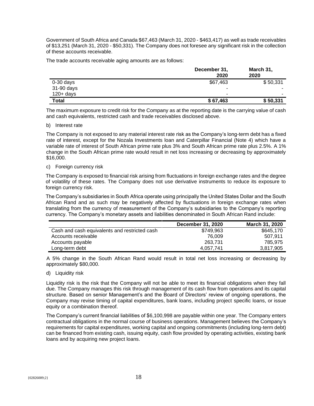Government of South Africa and Canada \$67,463 (March 31, 2020 - \$463,417) as well as trade receivables of \$13,251 (March 31, 2020 - \$50,331). The Company does not foresee any significant risk in the collection of these accounts receivable.

The trade accounts receivable aging amounts are as follows:

|              | December 31,<br>2020 | March 31,<br>2020 |
|--------------|----------------------|-------------------|
| $0-30$ days  | \$67,463             | \$50,331          |
| 31-90 days   | ۰                    | ۰                 |
| $120 + days$ | -                    |                   |
| <b>Total</b> | \$67,463             | \$50,331          |

The maximum exposure to credit risk for the Company as at the reporting date is the carrying value of cash and cash equivalents, restricted cash and trade receivables disclosed above.

## b) Interest rate

The Company is not exposed to any material interest rate risk as the Company's long-term debt has a fixed rate of interest, except for the Nozala Investments loan and Caterpillar Financial (Note 4) which have a variable rate of interest of South African prime rate plus 3% and South African prime rate plus 2.5%. A 1% change in the South African prime rate would result in net loss increasing or decreasing by approximately \$16,000.

## c) Foreign currency risk

The Company is exposed to financial risk arising from fluctuations in foreign exchange rates and the degree of volatility of these rates. The Company does not use derivative instruments to reduce its exposure to foreign currency risk.

The Company's subsidiaries in South Africa operate using principally the United States Dollar and the South African Rand and as such may be negatively affected by fluctuations in foreign exchange rates when translating from the currency of measurement of the Company's subsidiaries to the Company's reporting currency. The Company's monetary assets and liabilities denominated in South African Rand include:

|                                               | December 31, 2020 | <b>March 31, 2020</b> |
|-----------------------------------------------|-------------------|-----------------------|
| Cash and cash equivalents and restricted cash | \$749,963         | \$645,170             |
| Accounts receivable                           | 76.009            | 507.911               |
| Accounts payable                              | 263.731           | 785.975               |
| Long-term debt                                | 4.057.741         | 3,817,905             |

A 5% change in the South African Rand would result in total net loss increasing or decreasing by approximately \$80,000.

d) Liquidity risk

Liquidity risk is the risk that the Company will not be able to meet its financial obligations when they fall due. The Company manages this risk through management of its cash flow from operations and its capital structure. Based on senior Management's and the Board of Directors' review of ongoing operations, the Company may revise timing of capital expenditures, bank loans, including project specific loans, or issue equity or a combination thereof.

The Company's current financial liabilities of \$6,100,998 are payable within one year. The Company enters contractual obligations in the normal course of business operations. Management believes the Company's requirements for capital expenditures, working capital and ongoing commitments (including long-term debt) can be financed from existing cash, issuing equity, cash flow provided by operating activities, existing bank loans and by acquiring new project loans.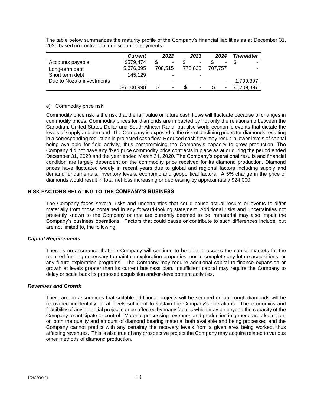The table below summarizes the maturity profile of the Company's financial liabilities as at December 31, 2020 based on contractual undiscounted payments:

|                           | <b>Current</b> | 2022    | 2023           | 2024                     | <b>Thereafter</b> |
|---------------------------|----------------|---------|----------------|--------------------------|-------------------|
| Accounts payable          | \$579,474      | \$<br>٠ | $\blacksquare$ | ٠                        |                   |
| Long-term debt            | 5,376,395      | 708.515 | 778.833        | 707.757                  |                   |
| Short term debt           | 145,129        |         | ۰              |                          |                   |
| Due to Nozala investments | ۰              | -       |                | $\overline{\phantom{a}}$ | 1,709,397         |
|                           | \$6,100,998    | ٠       | ٠              | ٠                        | \$1,709,397       |

## e) Commodity price risk

Commodity price risk is the risk that the fair value or future cash flows will fluctuate because of changes in commodity prices. Commodity prices for diamonds are impacted by not only the relationship between the Canadian, United States Dollar and South African Rand, but also world economic events that dictate the levels of supply and demand. The Company is exposed to the risk of declining prices for diamonds resulting in a corresponding reduction in projected cash flow. Reduced cash flow may result in lower levels of capital being available for field activity, thus compromising the Company's capacity to grow production. The Company did not have any fixed price commodity price contracts in place as at or during the period ended December 31, 2020 and the year ended March 31, 2020. The Company's operational results and financial condition are largely dependent on the commodity price received for its diamond production. Diamond prices have fluctuated widely in recent years due to global and regional factors including supply and demand fundamentals, inventory levels, economic and geopolitical factors. A 5% change in the price of diamonds would result in total net loss increasing or decreasing by approximately \$24,000.

# **RISK FACTORS RELATING TO THE COMPANY'S BUSINESS**

The Company faces several risks and uncertainties that could cause actual results or events to differ materially from those contained in any forward-looking statement. Additional risks and uncertainties not presently known to the Company or that are currently deemed to be immaterial may also impair the Company's business operations. Factors that could cause or contribute to such differences include, but are not limited to, the following:

## *Capital Requirements*

There is no assurance that the Company will continue to be able to access the capital markets for the required funding necessary to maintain exploration properties, nor to complete any future acquisitions, or any future exploration programs. The Company may require additional capital to finance expansion or growth at levels greater than its current business plan. Insufficient capital may require the Company to delay or scale back its proposed acquisition and/or development activities.

## *Revenues and Growth*

There are no assurances that suitable additional projects will be secured or that rough diamonds will be recovered incidentally, or at levels sufficient to sustain the Company's operations. The economics and feasibility of any potential project can be affected by many factors which may be beyond the capacity of the Company to anticipate or control. Material processing revenues and production in general are also reliant on both the quality and amount of diamond bearing material both available and being processed and the Company cannot predict with any certainty the recovery levels from a given area being worked, thus affecting revenues. This is also true of any prospective project the Company may acquire related to various other methods of diamond production.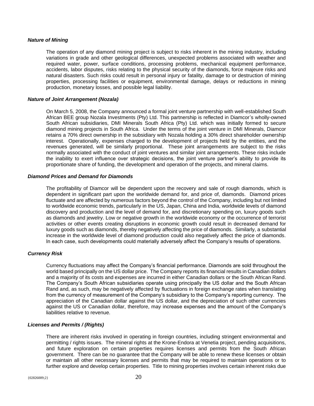## *Nature of Mining*

The operation of any diamond mining project is subject to risks inherent in the mining industry, including variations in grade and other geological differences, unexpected problems associated with weather and required water, power, surface conditions, processing problems, mechanical equipment performance, accidents, labor disputes, risks relating to the physical security of the diamonds, force majeure risks and natural disasters. Such risks could result in personal injury or fatality, damage to or destruction of mining properties, processing facilities or equipment, environmental damage, delays or reductions in mining production, monetary losses, and possible legal liability.

## *Nature of Joint Arrangement (Nozala)*

On March 5, 2008, the Company announced a formal joint venture partnership with well-established South African BEE group Nozala Investments (Pty) Ltd. This partnership is reflected in Diamcor's wholly-owned South African subsidiaries, DMI Minerals South Africa (Pty) Ltd. which was initially formed to secure diamond mining projects in South Africa. Under the terms of the joint venture in DMI Minerals, Diamcor retains a 70% direct ownership in the subsidiary with Nozala holding a 30% direct shareholder ownership interest. Operationally, expenses charged to the development of projects held by the entities, and the revenues generated, will be similarly proportional. These joint arrangements are subject to the risks normally associated with the conduct of joint ventures and similar joint arrangements. These risks include the inability to exert influence over strategic decisions, the joint venture partner's ability to provide its proportionate share of funding, the development and operation of the projects, and mineral claims.

## *Diamond Prices and Demand for Diamonds*

The profitability of Diamcor will be dependent upon the recovery and sale of rough diamonds, which is dependent in significant part upon the worldwide demand for, and price of, diamonds. Diamond prices fluctuate and are affected by numerous factors beyond the control of the Company, including but not limited to worldwide economic trends, particularly in the US, Japan, China and India, worldwide levels of diamond discovery and production and the level of demand for, and discretionary spending on, luxury goods such as diamonds and jewelry. Low or negative growth in the worldwide economy or the occurrence of terrorist activities or other events creating disruptions in economic growth could result in decreased demand for luxury goods such as diamonds, thereby negatively affecting the price of diamonds. Similarly, a substantial increase in the worldwide level of diamond production could also negatively affect the price of diamonds. In each case, such developments could materially adversely affect the Company's results of operations.

# *Currency Risk*

Currency fluctuations may affect the Company's financial performance. Diamonds are sold throughout the world based principally on the US dollar price. The Company reports its financial results in Canadian dollars and a majority of its costs and expenses are incurred in either Canadian dollars or the South African Rand. The Company's South African subsidiaries operate using principally the US dollar and the South African Rand and, as such, may be negatively affected by fluctuations in foreign exchange rates when translating from the currency of measurement of the Company's subsidiary to the Company's reporting currency. The appreciation of the Canadian dollar against the US dollar, and the depreciation of such other currencies against the US or Canadian dollar, therefore, may increase expenses and the amount of the Company's liabilities relative to revenue.

## *Licenses and Permits / (Rights)*

There are inherent risks involved in operating in foreign countries, including stringent environmental and permitting / rights issues. The mineral rights at the Krone-Endora at Venetia project, pending acquisitions, and future exploration on certain properties requires licenses and permits from the South African government. There can be no guarantee that the Company will be able to renew these licenses or obtain or maintain all other necessary licenses and permits that may be required to maintain operations or to further explore and develop certain properties. Title to mining properties involves certain inherent risks due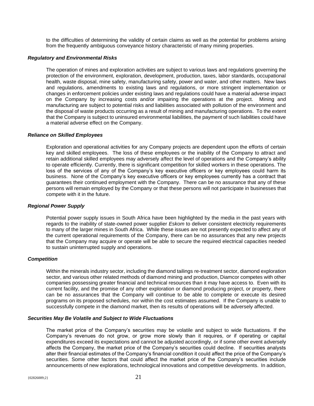to the difficulties of determining the validity of certain claims as well as the potential for problems arising from the frequently ambiguous conveyance history characteristic of many mining properties.

## *Regulatory and Environmental Risks*

The operation of mines and exploration activities are subject to various laws and regulations governing the protection of the environment, exploration, development, production, taxes, labor standards, occupational health, waste disposal, mine safety, manufacturing safety, power and water, and other matters. New laws and regulations, amendments to existing laws and regulations, or more stringent implementation or changes in enforcement policies under existing laws and regulations could have a material adverse impact on the Company by increasing costs and/or impairing the operations at the project. Mining and manufacturing are subject to potential risks and liabilities associated with pollution of the environment and the disposal of waste products occurring as a result of mining and manufacturing operations. To the extent that the Company is subject to uninsured environmental liabilities, the payment of such liabilities could have a material adverse effect on the Company.

## *Reliance on Skilled Employees*

Exploration and operational activities for any Company projects are dependent upon the efforts of certain key and skilled employees. The loss of these employees or the inability of the Company to attract and retain additional skilled employees may adversely affect the level of operations and the Company's ability to operate efficiently. Currently, there is significant competition for skilled workers in these operations. The loss of the services of any of the Company's key executive officers or key employees could harm its business. None of the Company's key executive officers or key employees currently has a contract that guarantees their continued employment with the Company. There can be no assurance that any of these persons will remain employed by the Company or that these persons will not participate in businesses that compete with it in the future.

## *Regional Power Supply*

Potential power supply issues in South Africa have been highlighted by the media in the past years with regards to the inability of state-owned power supplier *Eskom* to deliver consistent electricity requirements to many of the larger mines in South Africa. While these issues are not presently expected to affect any of the current operational requirements of the Company, there can be no assurances that any new projects that the Company may acquire or operate will be able to secure the required electrical capacities needed to sustain uninterrupted supply and operations.

## *Competition*

Within the minerals industry sector, including the diamond tailings re-treatment sector, diamond exploration sector, and various other related methods of diamond mining and production, Diamcor competes with other companies possessing greater financial and technical resources than it may have access to. Even with its current facility, and the promise of any other exploration or diamond producing project, or property, there can be no assurances that the Company will continue to be able to complete or execute its desired programs on its proposed schedules, nor within the cost estimates assumed. If the Company is unable to successfully compete in the diamond market, then its results of operations will be adversely affected.

## *Securities May Be Volatile and Subject to Wide Fluctuations*

The market price of the Company's securities may be volatile and subject to wide fluctuations. If the Company's revenues do not grow, or grow more slowly than it requires, or if operating or capital expenditures exceed its expectations and cannot be adjusted accordingly, or if some other event adversely affects the Company, the market price of the Company's securities could decline. If securities analysts alter their financial estimates of the Company's financial condition it could affect the price of the Company's securities. Some other factors that could affect the market price of the Company's securities include announcements of new explorations, technological innovations and competitive developments. In addition,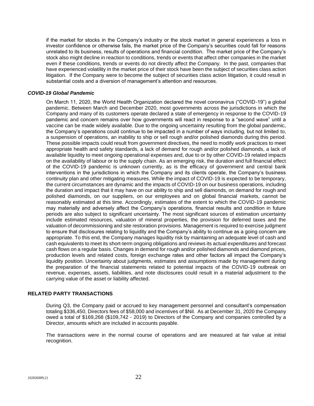if the market for stocks in the Company's industry or the stock market in general experiences a loss in investor confidence or otherwise fails, the market price of the Company's securities could fall for reasons unrelated to its business, results of operations and financial condition. The market price of the Company's stock also might decline in reaction to conditions, trends or events that affect other companies in the market even if these conditions, trends or events do not directly affect the Company. In the past, companies that have experienced volatility in the market price of their stock have been the subject of securities class action litigation. If the Company were to become the subject of securities class action litigation, it could result in substantial costs and a diversion of management's attention and resources.

## *COVID-19 Global Pandemic*

On March 11, 2020, the World Health Organization declared the novel coronavirus ("COVID-19") a global pandemic. Between March and December 2020, most governments across the jurisdictions in which the Company and many of its customers operate declared a state of emergency in response to the COVID-19 pandemic and concern remains over how governments will react in response to a "second wave" until a vaccine can be made widely available. Due to the ongoing uncertainty resulting from the global pandemic, the Company's operations could continue to be impacted in a number of ways including, but not limited to, a suspension of operations, an inability to ship or sell rough and/or polished diamonds during this period. These possible impacts could result from government directives, the need to modify work practices to meet appropriate health and safety standards, a lack of demand for rough and/or polished diamonds, a lack of available liquidity to meet ongoing operational expenses and, due to or by other COVID-19 related impacts on the availability of labour or to the supply chain. As an emerging risk, the duration and full financial effect of the COVID-19 pandemic is unknown currently, as is the efficacy of government and central bank interventions in the jurisdictions in which the Company and its clients operate, the Company's business continuity plan and other mitigating measures. While the impact of COVID-19 is expected to be temporary, the current circumstances are dynamic and the impacts of COVID-19 on our business operations, including the duration and impact that it may have on our ability to ship and sell diamonds, on demand for rough and polished diamonds, on our suppliers, on our employees and on global financial markets, cannot be reasonably estimated at this time. Accordingly, estimates of the extent to which the COVID-19 pandemic may materially and adversely affect the Company's operations, financial results and condition in future periods are also subject to significant uncertainty. The most significant sources of estimation uncertainty include estimated resources, valuation of mineral properties, the provision for deferred taxes and the valuation of decommissioning and site restoration provisions. Management is required to exercise judgment to ensure that disclosures relating to liquidity and the Company's ability to continue as a going concern are appropriate. To this end, the Company manages liquidity risk by maintaining an adequate level of cash and cash equivalents to meet its short-term ongoing obligations and reviews its actual expenditures and forecast cash flows on a regular basis. Changes in demand for rough and/or polished diamonds and diamond prices, production levels and related costs, foreign exchange rates and other factors all impact the Company's liquidity position. Uncertainty about judgments, estimates and assumptions made by management during the preparation of the financial statements related to potential impacts of the COVID-19 outbreak on revenue, expenses, assets, liabilities, and note disclosures could result in a material adjustment to the carrying value of the asset or liability affected.

# **RELATED PARTY TRANSACTIONS**

During Q3, the Company paid or accrued to key management personnel and consultant's compensation totaling \$336,450, Directors fees of \$58,000 and incentives of \$Nil. As at December 31, 2020 the Company owed a total of \$169,268 (\$109,742 - 2019) to Directors of the Company and companies controlled by a Director, amounts which are included in accounts payable.

The transactions were in the normal course of operations and are measured at fair value at initial recognition.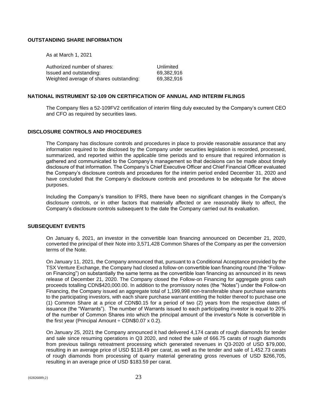## **OUTSTANDING SHARE INFORMATION**

As at March 1, 2021

| Authorized number of shares:            | Unlimited  |
|-----------------------------------------|------------|
| Issued and outstanding:                 | 69.382.916 |
| Weighted average of shares outstanding: | 69.382.916 |

## **NATIONAL INSTRUMENT 52-109 ON CERTIFICATION OF ANNUAL AND INTERIM FILINGS**

The Company files a 52-109FV2 certification of interim filing duly executed by the Company's current CEO and CFO as required by securities laws.

## **DISCLOSURE CONTROLS AND PROCEDURES**

The Company has disclosure controls and procedures in place to provide reasonable assurance that any information required to be disclosed by the Company under securities legislation is recorded, processed, summarized, and reported within the applicable time periods and to ensure that required information is gathered and communicated to the Company's management so that decisions can be made about timely disclosure of that information. The Company's Chief Executive Officer and Chief Financial Officer evaluated the Company's disclosure controls and procedures for the interim period ended December 31, 2020 and have concluded that the Company's disclosure controls and procedures to be adequate for the above purposes.

Including the Company's transition to IFRS, there have been no significant changes in the Company's disclosure controls, or in other factors that materially affected or are reasonably likely to affect, the Company's disclosure controls subsequent to the date the Company carried out its evaluation.

#### **SUBSEQUENT EVENTS**

On January 6, 2021, an investor in the convertible loan financing announced on December 21, 2020, converted the principal of their Note into 3,571,428 Common Shares of the Company as per the conversion terms of the Note.

On January 11, 2021, the Company announced that, pursuant to a Conditional Acceptance provided by the TSX Venture Exchange, the Company had closed a follow-on convertible loan financing round (the "Followon Financing") on substantially the same terms as the convertible loan financing as announced in its news release of December 21, 2020. The Company closed the Follow-on Financing for aggregate gross cash proceeds totalling CDN\$420,000.00. In addition to the promissory notes (the "Notes") under the Follow-on Financing, the Company issued an aggregate total of 1,199,998 non-transferable share purchase warrants to the participating investors, with each share purchase warrant entitling the holder thereof to purchase one (1) Common Share at a price of CDN\$0.15 for a period of two (2) years from the respective dates of issuance (the "Warrants"). The number of Warrants issued to each participating investor is equal to 20% of the number of Common Shares into which the principal amount of the investor's Note is convertible in the first year (Principal Amount  $\div$  CDN\$0.07 x 0.2).

On January 25, 2021 the Company announced it had delivered 4,174 carats of rough diamonds for tender and sale since resuming operations in Q3 2020, and noted the sale of 666.75 carats of rough diamonds from previous tailings retreatment processing which generated revenues in Q3-2020 of USD \$79,000, resulting in an average price of USD \$118.49 per carat, as well as the tender and sale of 1,452.73 carats of rough diamonds from processing of quarry material generating gross revenues of USD \$266,705, resulting in an average price of USD \$183.59 per carat.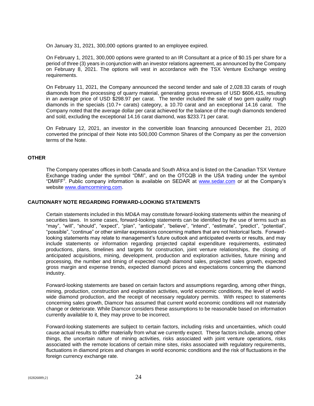On January 31, 2021, 300,000 options granted to an employee expired.

On February 1, 2021, 300,000 options were granted to an IR Consultant at a price of \$0.15 per share for a period of three (3) years in conjunction with an investor relations agreement, as announced by the Company on February 8, 2021. The options will vest in accordance with the TSX Venture Exchange vesting requirements.

On February 11, 2021, the Company announced the second tender and sale of 2,028.33 carats of rough diamonds from the processing of quarry material, generating gross revenues of USD \$606,415, resulting in an average price of USD \$298.97 per carat. The tender included the sale of two gem quality rough diamonds in the specials (10.7+ carats) category, a 10.70 carat and an exceptional 14.16 carat. The Company noted that the average dollar per carat achieved for the balance of the rough diamonds tendered and sold, excluding the exceptional 14.16 carat diamond, was \$233.71 per carat.

On February 12, 2021, an investor in the convertible loan financing announced December 21, 2020 converted the principal of their Note into 500,000 Common Shares of the Company as per the conversion terms of the Note.

# **OTHER**

The Company operates offices in both Canada and South Africa and is listed on the Canadian TSX Venture Exchange trading under the symbol "DMI", and on the OTCQB in the USA trading under the symbol "DMIFF". Public company information is available on SEDAR at [www.sedar.com](http://www.sedar.com/) or at the Company's website [www.diamcormining.com.](http://www.diamcormining.com/)

## **CAUTIONARY NOTE REGARDING FORWARD-LOOKING STATEMENTS**

Certain statements included in this MD&A may constitute forward-looking statements within the meaning of securities laws. In some cases, forward-looking statements can be identified by the use of terms such as "may", "will", "should", "expect", "plan", "anticipate", "believe", "intend", "estimate", "predict", "potential", "possible", "continue" or other similar expressions concerning matters that are not historical facts. Forwardlooking statements may relate to management's future outlook and anticipated events or results, and may include statements or information regarding projected capital expenditure requirements, estimated productions, plans, timelines and targets for construction, joint venture relationships, the closing of anticipated acquisitions, mining, development, production and exploration activities, future mining and processing, the number and timing of expected rough diamond sales, projected sales growth, expected gross margin and expense trends, expected diamond prices and expectations concerning the diamond industry.

Forward-looking statements are based on certain factors and assumptions regarding, among other things, mining, production, construction and exploration activities, world economic conditions, the level of worldwide diamond production, and the receipt of necessary regulatory permits. With respect to statements concerning sales growth, Diamcor has assumed that current world economic conditions will not materially change or deteriorate. While Diamcor considers these assumptions to be reasonable based on information currently available to it, they may prove to be incorrect.

Forward-looking statements are subject to certain factors, including risks and uncertainties, which could cause actual results to differ materially from what we currently expect. These factors include, among other things, the uncertain nature of mining activities, risks associated with joint venture operations, risks associated with the remote locations of certain mine sites, risks associated with regulatory requirements, fluctuations in diamond prices and changes in world economic conditions and the risk of fluctuations in the foreign currency exchange rate.